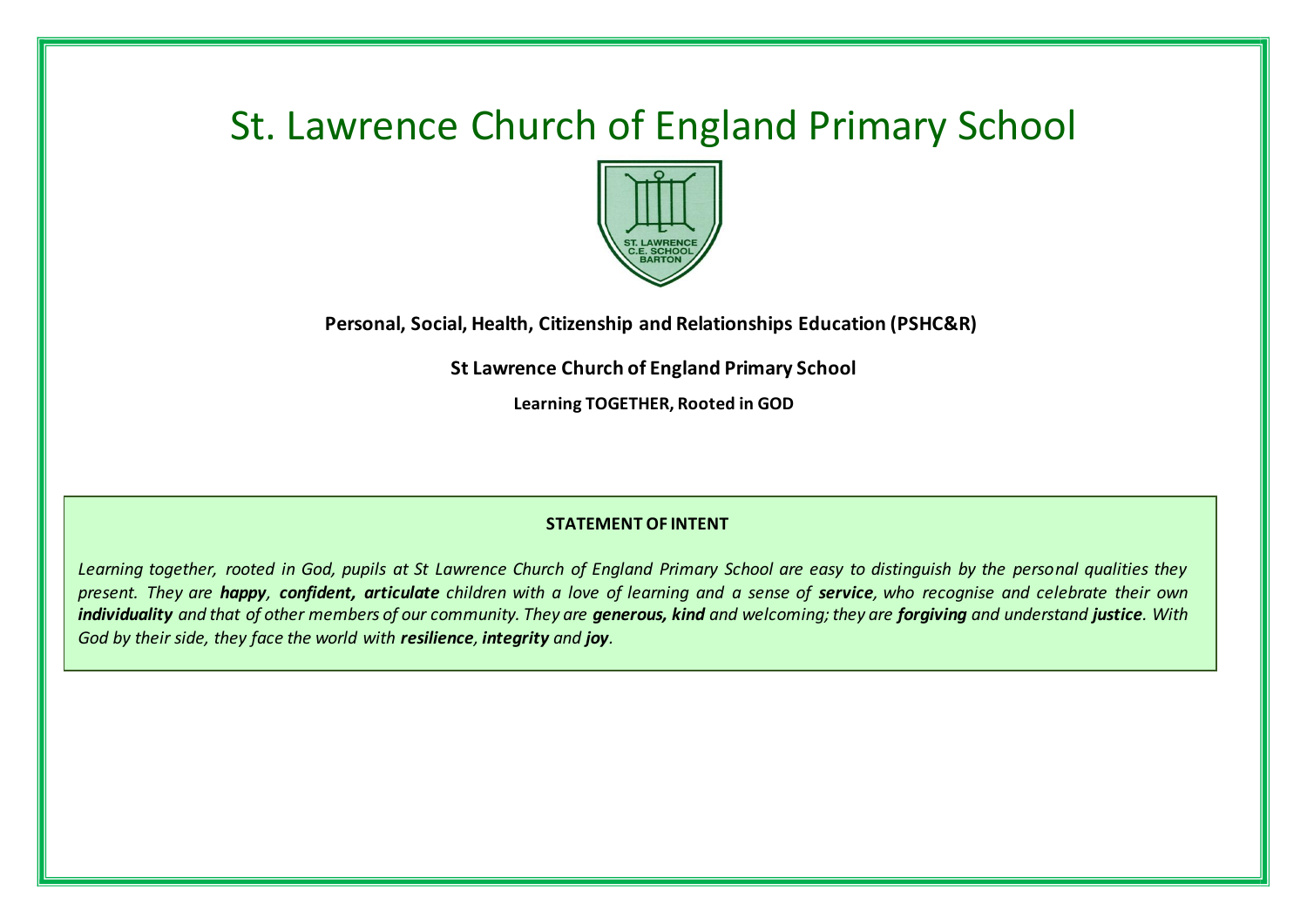# St. Lawrence Church of England Primary School



**Personal, Social, Health, Citizenship and Relationships Education (PSHC&R)**

**St Lawrence Church of England Primary School**

**Learning TOGETHER, Rooted in GOD**

### **STATEMENT OF INTENT**

*Learning together, rooted in God, pupils at St Lawrence Church of England Primary School are easy to distinguish by the personal qualities they present. They are happy, confident, articulate children with a love of learning and a sense of service, who recognise and celebrate their own individuality and that of other members of our community. They are generous, kind and welcoming; they are forgiving and understand justice. With God by their side, they face the world with resilience, integrity and joy.*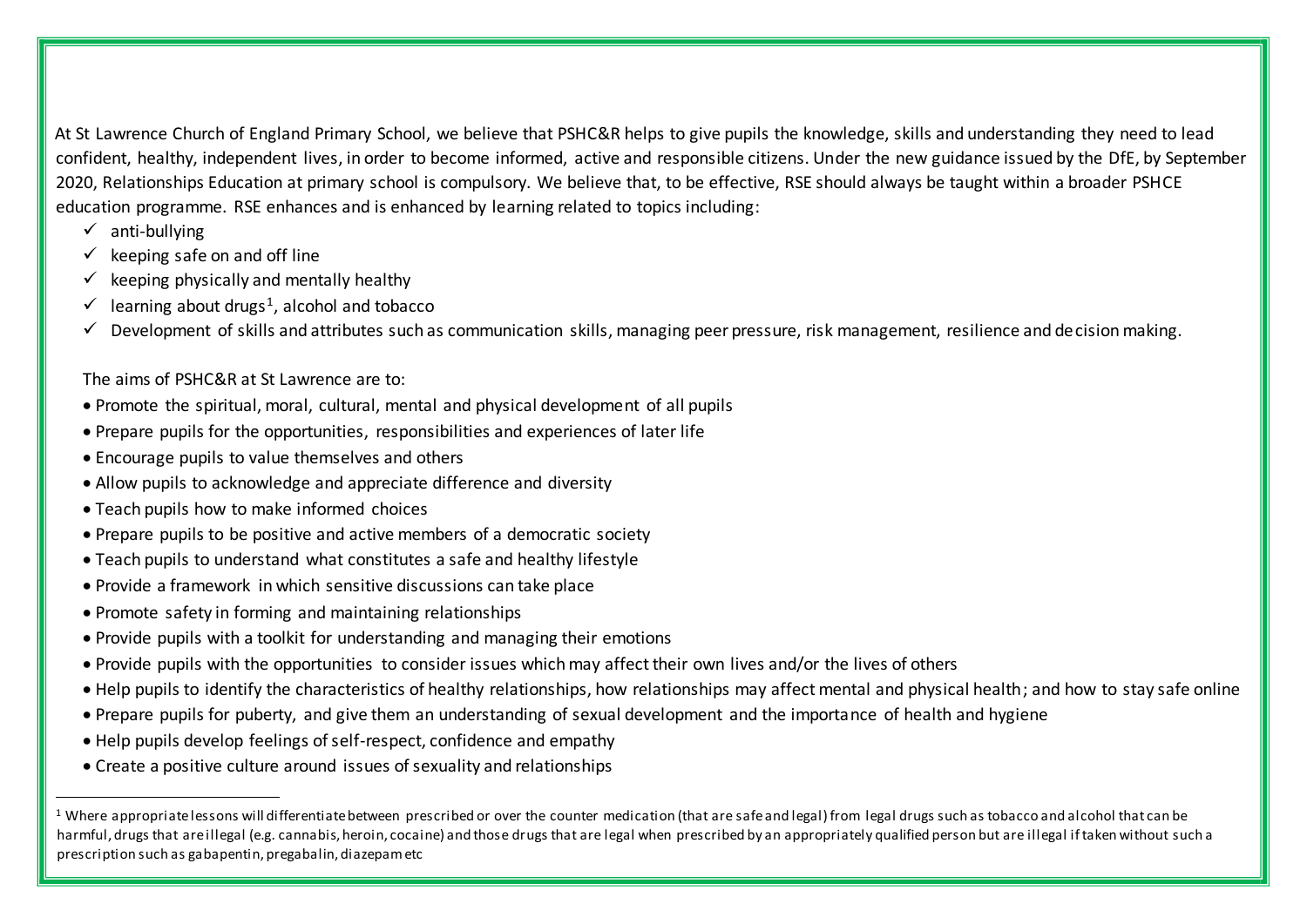At St Lawrence Church of England Primary School, we believe that PSHC&R helps to give pupils the knowledge, skills and understanding they need to lead confident, healthy, independent lives, in order to become informed, active and responsible citizens. Under the new guidance issued by the DfE, by September 2020, Relationships Education at primary school is compulsory. We believe that, to be effective, RSE should always be taught within a broader PSHCE education programme. RSE enhances and is enhanced by learning related to topics including:

 $\checkmark$  anti-bullying

<u>.</u>

- $\checkmark$  keeping safe on and off line
- $\checkmark$  keeping physically and mentally healthy
- $\checkmark$  learning about drugs<sup>1</sup>, alcohol and tobacco
- $\checkmark$  Development of skills and attributes such as communication skills, managing peer pressure, risk management, resilience and decision making.

# The aims of PSHC&R at St Lawrence are to:

- Promote the spiritual, moral, cultural, mental and physical development of all pupils
- Prepare pupils for the opportunities, responsibilities and experiences of later life
- Encourage pupils to value themselves and others
- Allow pupils to acknowledge and appreciate difference and diversity
- Teach pupils how to make informed choices
- Prepare pupils to be positive and active members of a democratic society
- Teach pupils to understand what constitutes a safe and healthy lifestyle
- Provide a framework in which sensitive discussions can take place
- Promote safety in forming and maintaining relationships
- Provide pupils with a toolkit for understanding and managing their emotions
- Provide pupils with the opportunities to consider issues which may affect their own lives and/or the lives of others
- Help pupils to identify the characteristics of healthy relationships, how relationships may affect mental and physical health; and how to stay safe online
- Prepare pupils for puberty, and give them an understanding of sexual development and the importance of health and hygiene
- Help pupils develop feelings of self-respect, confidence and empathy
- Create a positive culture around issues of sexuality and relationships

<sup>&</sup>lt;sup>1</sup> Where appropriate lessons will differentiate between prescribed or over the counter medication (that are safe and legal) from legal drugs such as tobacco and alcohol that can be harmful, drugs that are illegal (e.g. cannabis, heroin, cocaine) and those drugs that are legal when prescribed by an appropriately qualified person but are illegal if taken without such a prescription such as gabapentin, pregabalin, diazepam etc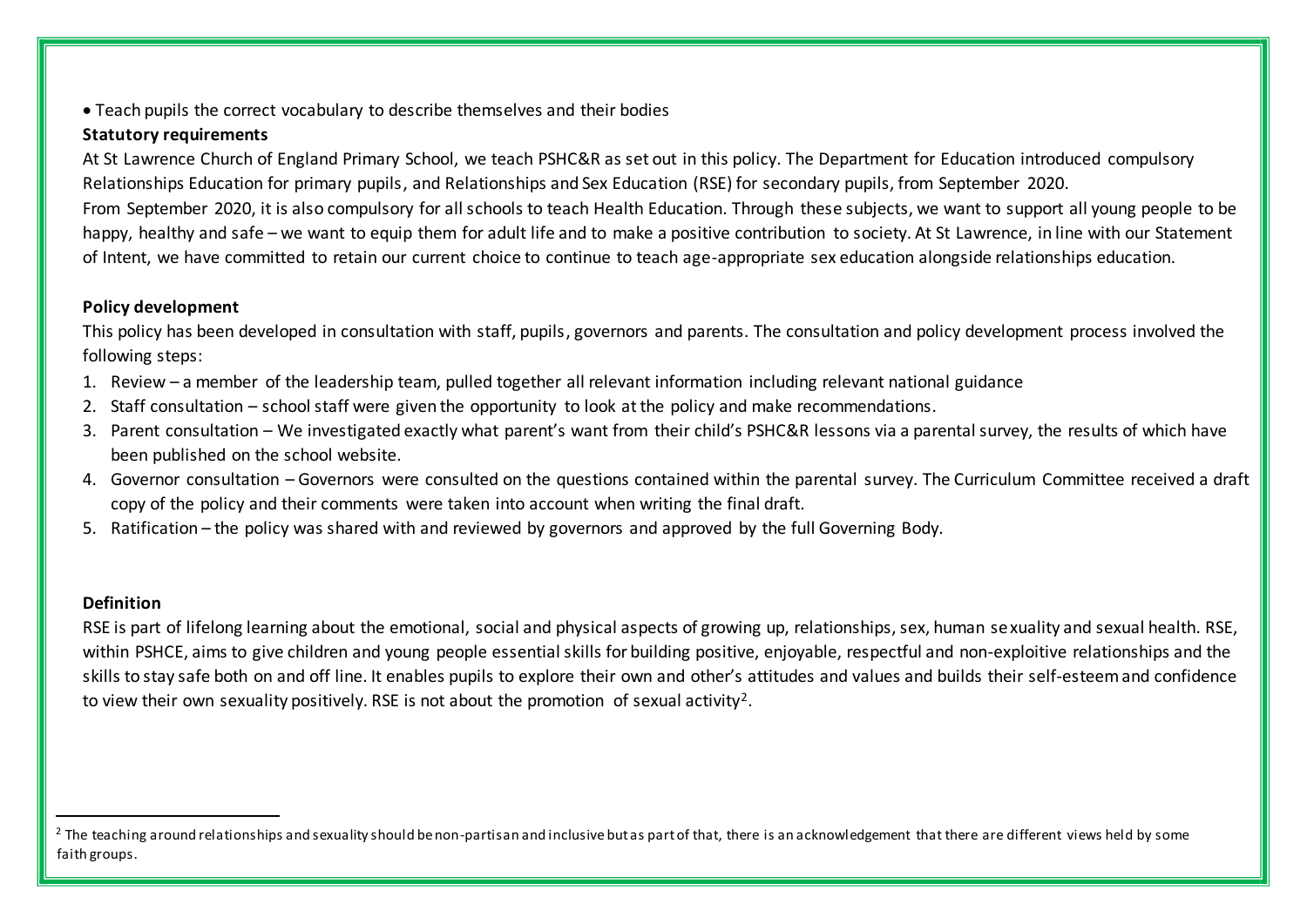Teach pupils the correct vocabulary to describe themselves and their bodies

# **Statutory requirements**

At St Lawrence Church of England Primary School, we teach PSHC&R as set out in this policy. The Department for Education introduced compulsory Relationships Education for primary pupils, and Relationships and Sex Education (RSE) for secondary pupils, from September 2020. From September 2020, it is also compulsory for all schools to teach Health Education. Through these subjects, we want to support all young people to be happy, healthy and safe – we want to equip them for adult life and to make a positive contribution to society. At St Lawrence, in line with our Statement of Intent, we have committed to retain our current choice to continue to teach age-appropriate sex education alongside relationships education.

# **Policy development**

This policy has been developed in consultation with staff, pupils, governors and parents. The consultation and policy development process involved the following steps:

- 1. Review a member of the leadership team, pulled together all relevant information including relevant national guidance
- 2. Staff consultation school staff were given the opportunity to look at the policy and make recommendations.
- 3. Parent consultation We investigated exactly what parent's want from their child's PSHC&R lessons via a parental survey, the results of which have been published on the school website.
- 4. Governor consultation Governors were consulted on the questions contained within the parental survey. The Curriculum Committee received a draft copy of the policy and their comments were taken into account when writing the final draft.
- 5. Ratification the policy was shared with and reviewed by governors and approved by the full Governing Body.

# **Definition**

<u>.</u>

RSE is part of lifelong learning about the emotional, social and physical aspects of growing up, relationships, sex, human sexuality and sexual health. RSE, within PSHCE, aims to give children and young people essential skills for building positive, enjoyable, respectful and non-exploitive relationships and the skills to stay safe both on and off line. It enables pupils to explore their own and other's attitudes and values and builds their self-esteem and confidence to view their own sexuality positively. RSE is not about the promotion of sexual activity<sup>2</sup>.

<sup>&</sup>lt;sup>2</sup> The teaching around relationships and sexuality should be non-partisan and inclusive but as part of that, there is an acknowledgement that there are different views held by some faith groups.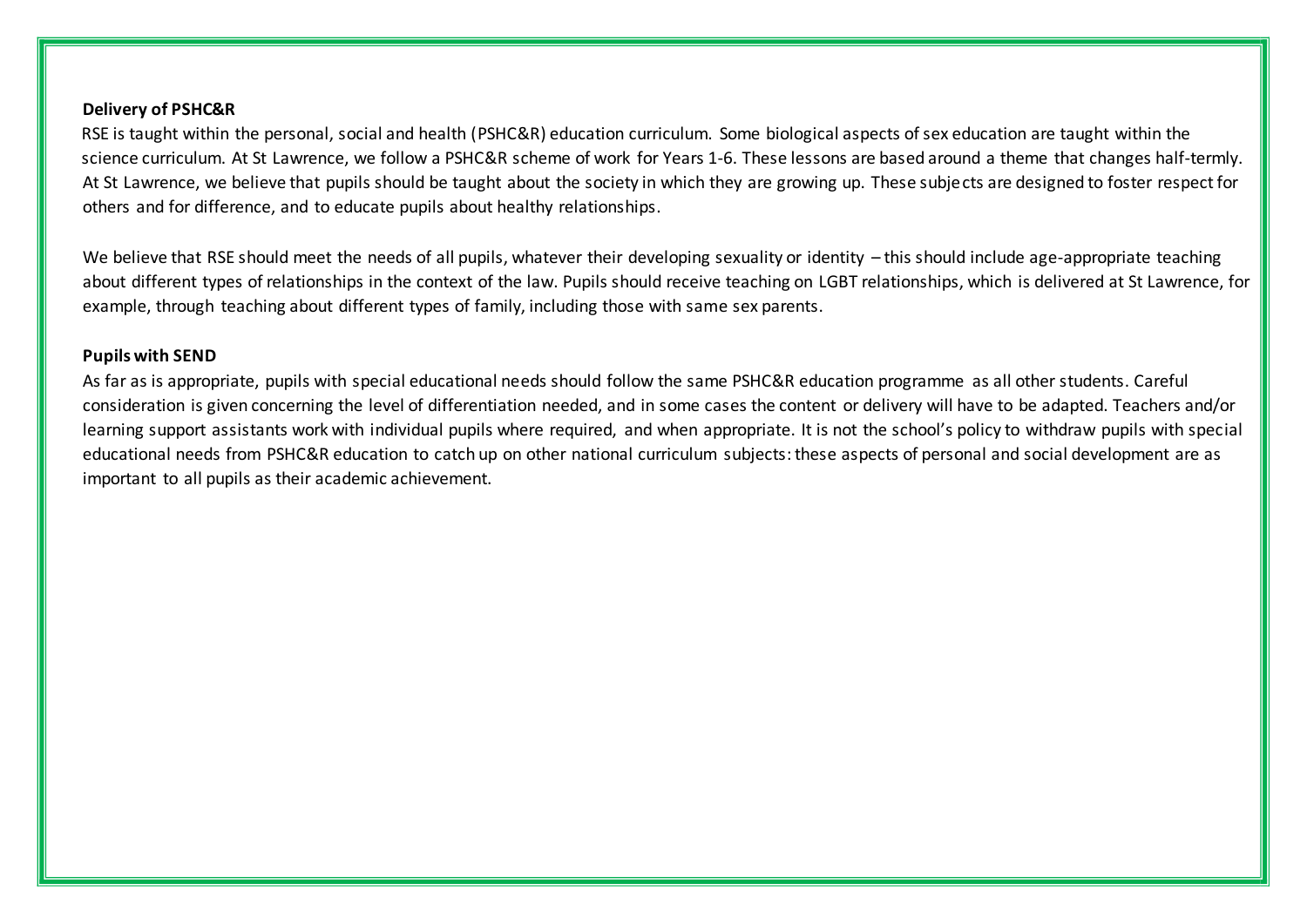#### **Delivery of PSHC&R**

RSE is taught within the personal, social and health (PSHC&R) education curriculum. Some biological aspects of sex education are taught within the science curriculum. At St Lawrence, we follow a PSHC&R scheme of work for Years 1-6. These lessons are based around a theme that changes half-termly. At St Lawrence, we believe that pupils should be taught about the society in which they are growing up. These subjects are designed to foster respect for others and for difference, and to educate pupils about healthy relationships.

We believe that RSE should meet the needs of all pupils, whatever their developing sexuality or identity – this should include age-appropriate teaching about different types of relationships in the context of the law. Pupils should receive teaching on LGBT relationships, which is delivered at St Lawrence, for example, through teaching about different types of family, including those with same sex parents.

#### **Pupils with SEND**

As far as is appropriate, pupils with special educational needs should follow the same PSHC&R education programme as all other students. Careful consideration is given concerning the level of differentiation needed, and in some cases the content or delivery will have to be adapted. Teachers and/or learning support assistants work with individual pupils where required, and when appropriate. It is not the school's policy to withdraw pupils with special educational needs from PSHC&R education to catch up on other national curriculum subjects: these aspects of personal and social development are as important to all pupils as their academic achievement.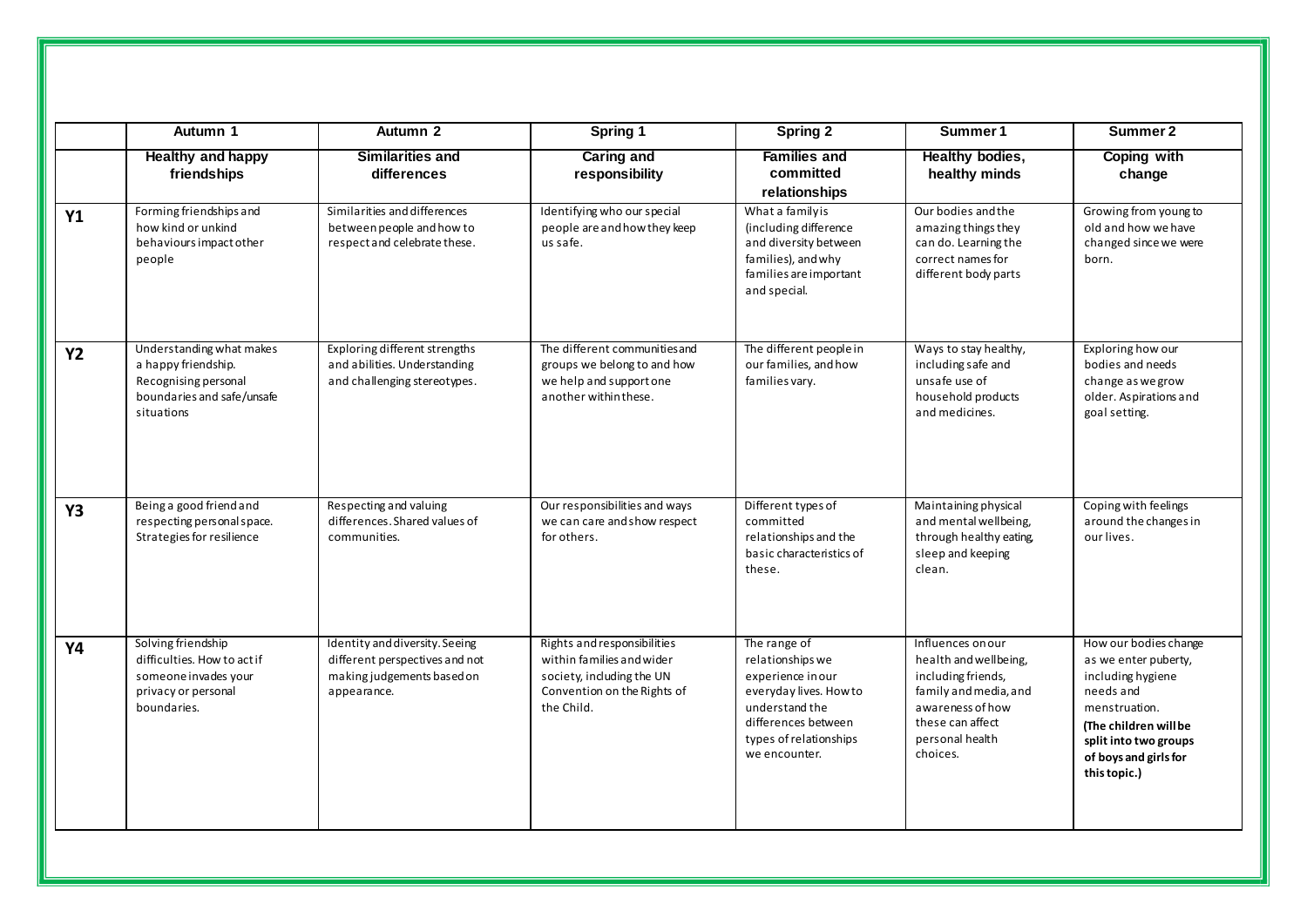|           | Autumn 1                                                                                                            | Autumn 2                                                                                                      | Spring 1                                                                                                                           | Spring 2                                                                                                                                                            | Summer 1                                                                                                                                                         | Summer 2                                                                                                                                                                                    |
|-----------|---------------------------------------------------------------------------------------------------------------------|---------------------------------------------------------------------------------------------------------------|------------------------------------------------------------------------------------------------------------------------------------|---------------------------------------------------------------------------------------------------------------------------------------------------------------------|------------------------------------------------------------------------------------------------------------------------------------------------------------------|---------------------------------------------------------------------------------------------------------------------------------------------------------------------------------------------|
|           | <b>Healthy and happy</b><br>friendships                                                                             | <b>Similarities and</b><br>differences                                                                        | <b>Caring and</b><br>responsibility                                                                                                | <b>Families and</b><br>committed<br>relationships                                                                                                                   | Healthy bodies,<br>healthy minds                                                                                                                                 | <b>Coping with</b><br>change                                                                                                                                                                |
| <b>Y1</b> | Forming friendships and<br>how kind or unkind<br>behaviours impact other<br>people                                  | Similarities and differences<br>between people and how to<br>respect and celebrate these.                     | Identifying who our special<br>people are and how they keep<br>us safe.                                                            | What a family is<br>(including difference<br>and diversity between<br>families), and why<br>families are important<br>and special.                                  | Our bodies and the<br>amazing things they<br>can do. Learning the<br>correct names for<br>different body parts                                                   | Growing from young to<br>old and how we have<br>changed since we were<br>born.                                                                                                              |
| <b>Y2</b> | Understanding what makes<br>a happy friendship.<br>Recognising personal<br>boundaries and safe/unsafe<br>situations | Exploring different strengths<br>and abilities. Understanding<br>and challenging stereotypes.                 | The different communities and<br>groups we belong to and how<br>we help and support one<br>another within these.                   | The different people in<br>our families, and how<br>families vary.                                                                                                  | Ways to stay healthy,<br>including safe and<br>unsafe use of<br>household products<br>and medicines.                                                             | Exploring how our<br>bodies and needs<br>change as we grow<br>older. Aspirations and<br>goal setting.                                                                                       |
| <b>Y3</b> | Being a good friend and<br>respecting personal space.<br>Strategies for resilience                                  | Respecting and valuing<br>differences. Shared values of<br>communities.                                       | Our responsibilities and ways<br>we can care and show respect<br>for others.                                                       | Different types of<br>committed<br>relationships and the<br>basic characteristics of<br>these.                                                                      | Maintaining physical<br>and mental wellbeing,<br>through healthy eating,<br>sleep and keeping<br>clean.                                                          | Coping with feelings<br>around the changes in<br>our lives.                                                                                                                                 |
| <b>Y4</b> | Solving friendship<br>difficulties. How to actif<br>someone invades your<br>privacy or personal<br>boundaries.      | Identity and diversity. Seeing<br>different perspectives and not<br>making judgements based on<br>appearance. | Rights and responsibilities<br>within families and wider<br>society, including the UN<br>Convention on the Rights of<br>the Child. | The range of<br>relationships we<br>experience in our<br>everyday lives. How to<br>understand the<br>differences between<br>types of relationships<br>we encounter. | Influences on our<br>health and wellbeing,<br>including friends,<br>family and media, and<br>awareness of how<br>these can affect<br>personal health<br>choices. | How our bodies change<br>as we enter puberty,<br>including hygiene<br>needs and<br>menstruation.<br>(The children will be<br>split into two groups<br>of boys and girls for<br>this topic.) |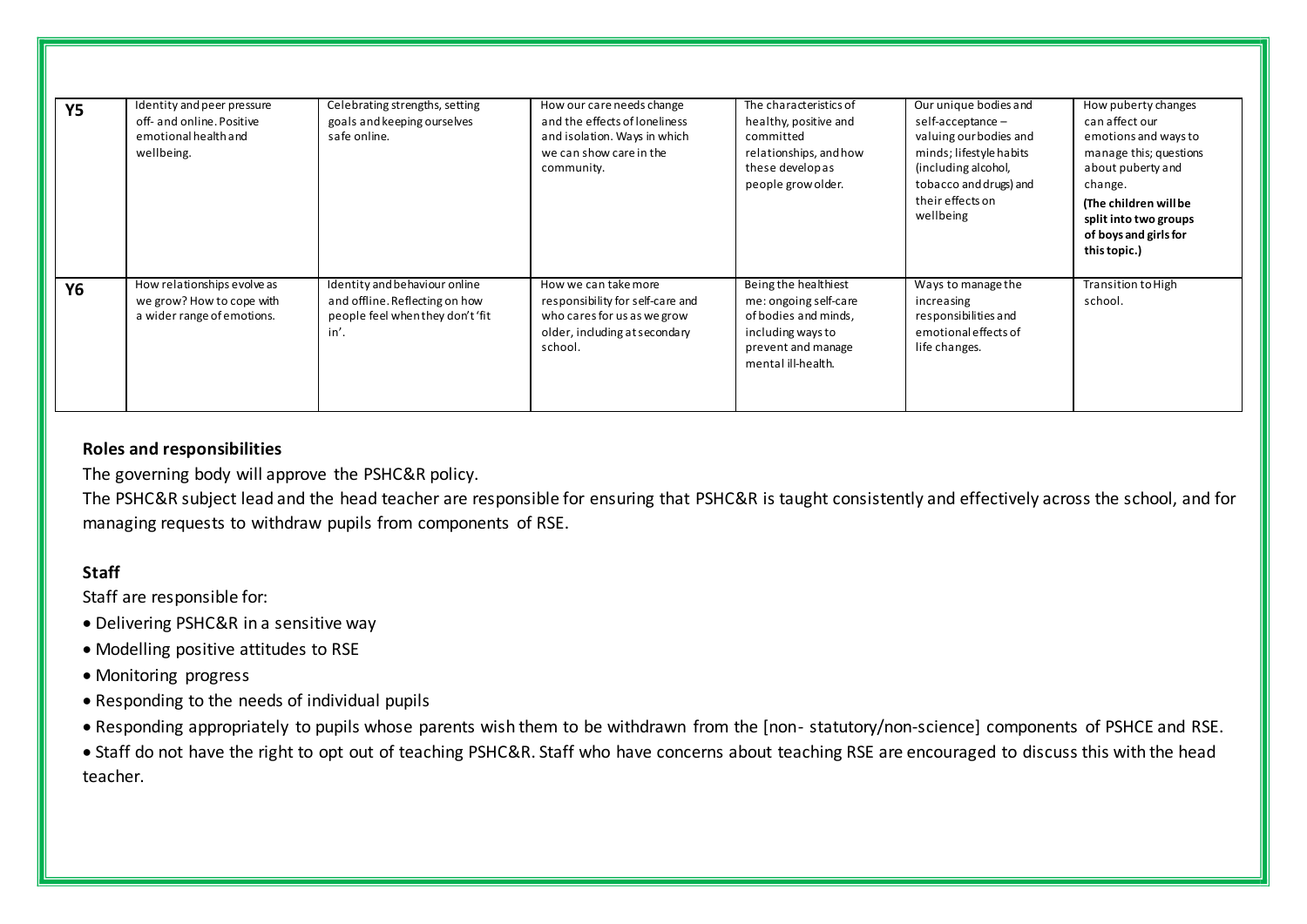| <b>Y5</b> | Identity and peer pressure<br>off- and online. Positive<br>emotional health and<br>wellbeing. | Celebrating strengths, setting<br>goals and keeping ourselves<br>safe online.                               | How our care needs change<br>and the effects of loneliness<br>and isolation. Ways in which<br>we can show care in the<br>community. | The characteristics of<br>healthy, positive and<br>committed<br>relationships, and how<br>these developas<br>people grow older.        | Our unique bodies and<br>self-acceptance -<br>valuing our bodies and<br>minds; lifestyle habits<br>(including alcohol,<br>tobacco and drugs) and<br>their effects on<br>wellbeing | How puberty changes<br>can affect our<br>emotions and ways to<br>manage this; questions<br>about puberty and<br>change.<br>(The children will be<br>split into two groups<br>of boys and girls for<br>this topic.) |
|-----------|-----------------------------------------------------------------------------------------------|-------------------------------------------------------------------------------------------------------------|-------------------------------------------------------------------------------------------------------------------------------------|----------------------------------------------------------------------------------------------------------------------------------------|-----------------------------------------------------------------------------------------------------------------------------------------------------------------------------------|--------------------------------------------------------------------------------------------------------------------------------------------------------------------------------------------------------------------|
| <b>Y6</b> | How relationships evolve as<br>we grow? How to cope with<br>a wider range of emotions.        | Identity and behaviour online<br>and offline. Reflecting on how<br>people feel when they don't 'fit<br>in'. | How we can take more<br>responsibility for self-care and<br>who cares for us as we grow<br>older, including at secondary<br>school. | Being the healthiest<br>me: ongoing self-care<br>of bodies and minds,<br>including ways to<br>prevent and manage<br>mental ill-health. | Ways to manage the<br>increasing<br>responsibilities and<br>emotional effects of<br>life changes.                                                                                 | Transition to High<br>school.                                                                                                                                                                                      |

# **Roles and responsibilities**

The governing body will approve the PSHC&R policy.

The PSHC&R subject lead and the head teacher are responsible for ensuring that PSHC&R is taught consistently and effectively across the school, and for managing requests to withdraw pupils from components of RSE.

# **Staff**

Staff are responsible for:

- Delivering PSHC&R in a sensitive way
- Modelling positive attitudes to RSE
- Monitoring progress
- Responding to the needs of individual pupils
- Responding appropriately to pupils whose parents wish them to be withdrawn from the [non- statutory/non-science] components of PSHCE and RSE.

 Staff do not have the right to opt out of teaching PSHC&R. Staff who have concerns about teaching RSE are encouraged to discuss this with the head teacher.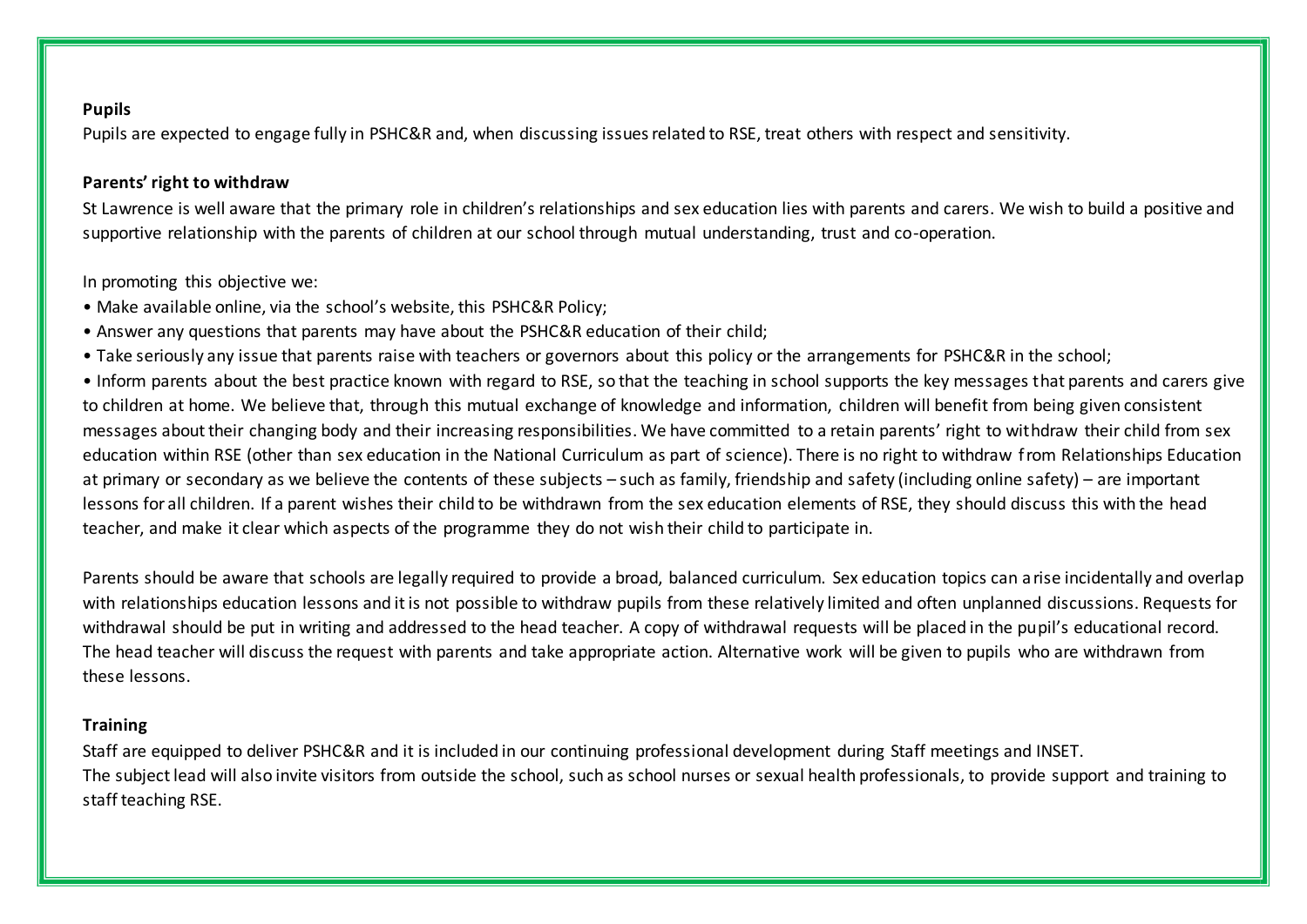#### **Pupils**

Pupils are expected to engage fully in PSHC&R and, when discussing issues related to RSE, treat others with respect and sensitivity.

## **Parents' right to withdraw**

St Lawrence is well aware that the primary role in children's relationships and sex education lies with parents and carers. We wish to build a positive and supportive relationship with the parents of children at our school through mutual understanding, trust and co-operation.

In promoting this objective we:

- Make available online, via the school's website, this PSHC&R Policy;
- Answer any questions that parents may have about the PSHC&R education of their child;
- Take seriously any issue that parents raise with teachers or governors about this policy or the arrangements for PSHC&R in the school;

• Inform parents about the best practice known with regard to RSE, so that the teaching in school supports the key messages that parents and carers give to children at home. We believe that, through this mutual exchange of knowledge and information, children will benefit from being given consistent messages about their changing body and their increasing responsibilities. We have committed to a retain parents' right to withdraw their child from sex education within RSE (other than sex education in the National Curriculum as part of science). There is no right to withdraw from Relationships Education at primary or secondary as we believe the contents of these subjects – such as family, friendship and safety (including online safety) – are important lessons for all children. If a parent wishes their child to be withdrawn from the sex education elements of RSE, they should discuss this with the head teacher, and make it clear which aspects of the programme they do not wish their child to participate in.

Parents should be aware that schools are legally required to provide a broad, balanced curriculum. Sex education topics can arise incidentally and overlap with relationships education lessons and it is not possible to withdraw pupils from these relatively limited and often unplanned discussions. Requests for withdrawal should be put in writing and addressed to the head teacher. A copy of withdrawal requests will be placed in the pupil's educational record. The head teacher will discuss the request with parents and take appropriate action. Alternative work will be given to pupils who are withdrawn from these lessons.

# **Training**

Staff are equipped to deliver PSHC&R and it is included in our continuing professional development during Staff meetings and INSET. The subject lead will also invite visitors from outside the school, such as school nurses or sexual health professionals, to provide support and training to staff teaching RSE.